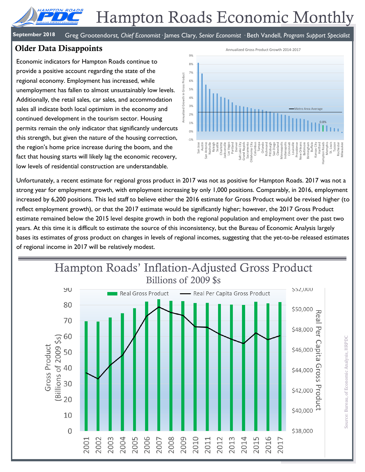# Hampton Roads Economic Monthly

**September 2018** Greg Grootendorst*, Chief Economist·* James Clary, *Senior Economist ·* Beth Vandell, *Program Support Specialist*

### **Older Data Disappoints**

AMPTON ROAD

Economic indicators for Hampton Roads continue to provide a positive account regarding the state of the regional economy. Employment has increased, while unemployment has fallen to almost unsustainably low levels. Additionally, the retail sales, car sales, and accommodation sales all indicate both local optimism in the economy and continued development in the tourism sector. Housing permits remain the only indicator that significantly undercuts this strength, but given the nature of the housing correction, the region's home price increase during the boom, and the fact that housing starts will likely lag the economic recovery, low levels of residential construction are understandable.



Unfortunately, a recent estimate for regional gross product in 2017 was not as positive for Hampton Roads. 2017 was not a strong year for employment growth, with employment increasing by only 1,000 positions. Comparably, in 2016, employment increased by 6,200 positions. This led staff to believe either the 2016 estimate for Gross Product would be revised higher (to reflect employment growth), or that the 2017 estimate would be significantly higher; however, the 2017 Gross Product estimate remained below the 2015 level despite growth in both the regional population and employment over the past two years. At this time it is difficult to estimate the source of this inconsistency, but the Bureau of Economic Analysis largely bases its estimates of gross product on changes in levels of regional incomes, suggesting that the yet-to-be released estimates of regional income in 2017 will be relatively modest.

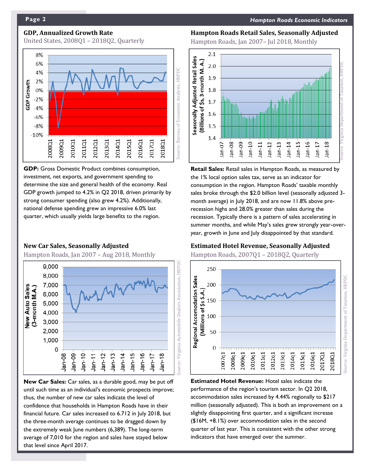#### **GDP, Annualized Growth Rate**

United States, 2008Q1 – 2018Q2, Quarterly



**GDP:** Gross Domestic Product combines consumption, investment, net exports, and government spending to determine the size and general health of the economy. Real GDP growth jumped to 4.2% in Q2 2018, driven primarily by strong consumer spending (also grew 4.2%). Additionally, national defense spending grew an impressive 6.0% last quarter, which usually yields large benefits to the region.

#### **New Car Sales, Seasonally Adjusted**

Hampton Roads, Jan 2007 – Aug 2018, Monthly



**New Car Sales:** Car sales, as a durable good, may be put off until such time as an individual's economic prospects improve; thus, the number of new car sales indicate the level of confidence that households in Hampton Roads have in their financial future. Car sales increased to 6.712 in July 2018, but the three-month average continues to be dragged down by the extremely weak June numbers (6,389). The long-term average of 7,010 for the region and sales have stayed below that level since April 2017.

#### **Hampton Roads Retail Sales, Seasonally Adjusted**

Hampton Roads, Jan 2007– Jul 2018, Monthly



**Retail Sales:** Retail sales in Hampton Roads, as measured by the 1% local option sales tax, serve as an indicator for consumption in the region. Hampton Roads' taxable monthly sales broke through the \$2.0 billion level (seasonally adjusted 3 month average) in July 2018, and are now 11.8% above prerecession highs and 28.0% greater than sales during the recession. Typically there is a pattern of sales accelerating in summer months, and while May's sales grew strongly year-overyear, growth in June and July disappointed by that standard.

#### **Estimated Hotel Revenue, Seasonally Adjusted**

Hampton Roads, 2007Q1 – 2018Q2, Quarterly



**Estimated Hotel Revenue:** Hotel sales indicate the performance of the region's tourism sector. In Q2 2018, accommodation sales increased by 4.44% regionally to \$217 million (seasonally adjusted). This is both an improvement on a slightly disappointing first quarter, and a significant increase (\$16M, +8.1%) over accommodation sales in the second quarter of last year. This is consistent with the other strong indicators that have emerged over the summer.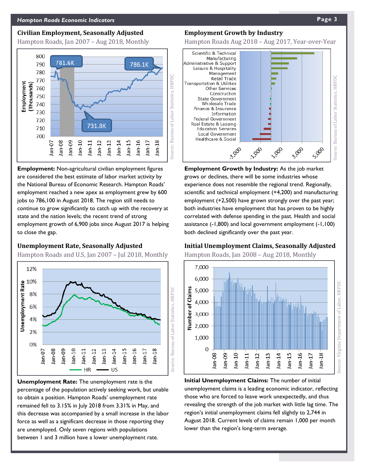#### **Civilian Employment, Seasonally Adjusted**

Hampton Roads, Jan 2007 – Aug 2018, Monthly



**Employment:** Non-agricultural civilian employment figures are considered the best estimate of labor market activity by the National Bureau of Economic Research. Hampton Roads' employment reached a new apex as employment grew by 600 jobs to 786,100 in August 2018. The region still needs to continue to grow significantly to catch up with the recovery at state and the nation levels; the recent trend of strong employment growth of 6,900 jobs since August 2017 is helping to close the gap.

#### **Unemployment Rate, Seasonally Adjusted**

Hampton Roads and U.S, Jan 2007 – Jul 2018, Monthly



**Unemployment Rate:** The unemployment rate is the percentage of the population actively seeking work, but unable to obtain a position. Hampton Roads' unemployment rate remained fell to 3.15% in July 2018 from 3.31% in May, and this decrease was accompanied by a small increase in the labor force as well as a significant decrease in those reporting they are unemployed. Only seven regions with populations between 1 and 3 million have a lower unemployment rate.

#### **Employment Growth by Industry**

Hampton Roads Aug 2018 – Aug 2017, Year-over-Year



**Employment Growth by Industry:** As the job market grows or declines, there will be some industries whose experience does not resemble the regional trend. Regionally, scientific and technical employment (+4,200) and manufacturing employment (+2,500) have grown strongly over the past year; both industries have employment that has proven to be highly correlated with defense spending in the past. Health and social assistance (-1,800) and local government employment (-1,100) both declined significantly over the past year.

#### **Initial Unemployment Claims, Seasonally Adjusted**

Hampton Roads, Jan 2008 – Aug 2018, Monthly



**Initial Unemployment Claims:** The number of initial unemployment claims is a leading economic indicator, reflecting those who are forced to leave work unexpectedly, and thus revealing the strength of the job market with little lag time. The region's initial unemployment claims fell slightly to 2,744 in August 2018. Current levels of claims remain 1,000 per month lower than the region's long-term average.